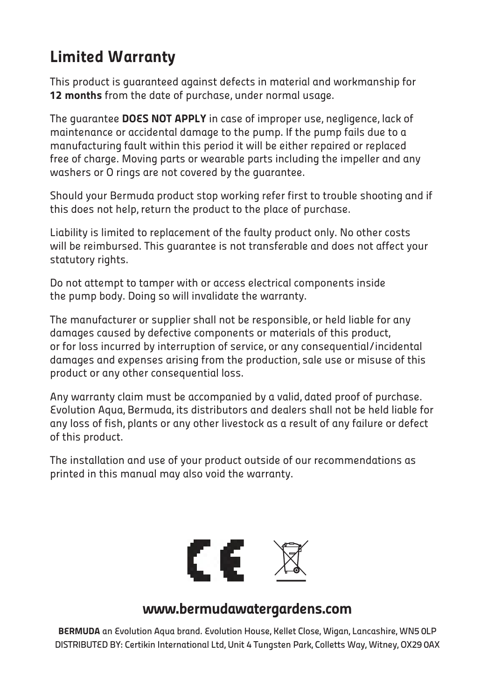#### Limited Warranty

This product is guaranteed against defects in material and workmanship for 12 months from the date of purchase, under normal usage.

The guarantee DOES NOT APPLY in case of improper use, negligence, lack of maintenance or accidental damage to the pump. If the pump fails due to a manufacturing fault within this period it will be either repaired or replaced free of charge. Moving parts or wearable parts including the impeller and any washers or O rings are not covered by the guarantee.

Should your Bermuda product stop working refer first to trouble shooting and if this does not help, return the product to the place of purchase.

Liability is limited to replacement of the faulty product only. No other costs will be reimbursed. This guarantee is not transferable and does not affect your statutory rights.

Do not attempt to tamper with or access electrical components inside the pump body. Doing so will invalidate the warranty.

The manufacturer or supplier shall not be responsible, or held liable for any damages caused by defective components or materials of this product, or for loss incurred by interruption of service, or any consequential/incidental damages and expenses arising from the production, sale use or misuse of this product or any other consequential loss.

Any warranty claim must be accompanied by a valid, dated proof of purchase. Evolution Aqua, Bermuda, its distributors and dealers shall not be held liable for any loss of fish, plants or any other livestock as a result of any failure or defect of this product.

The installation and use of your product outside of our recommendations as printed in this manual may also void the warranty.



#### www.bermudawatergardens.com

BERMUDA an Evolution Aqua brand. Evolution House, Kellet Close, Wigan, Lancashire, WN5 0LP DISTRIBUTED BY: Certikin International Ltd, Unit 4 Tungsten Park, Colletts Way, Witney, OX29 0AX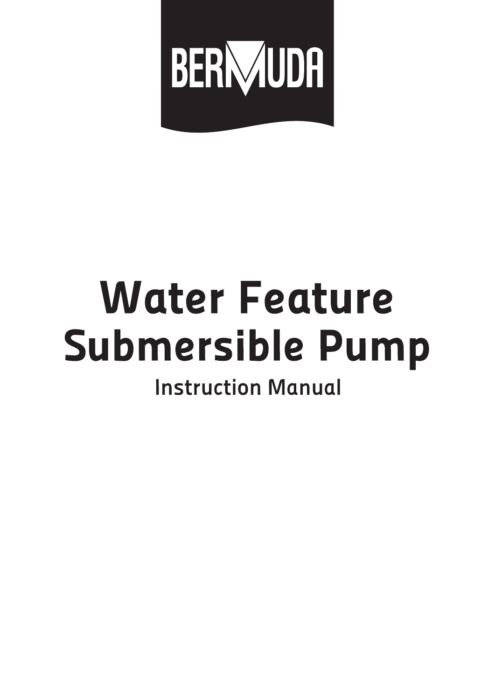

# **Water Feature Submersible Pump**

## **Instruction Manual**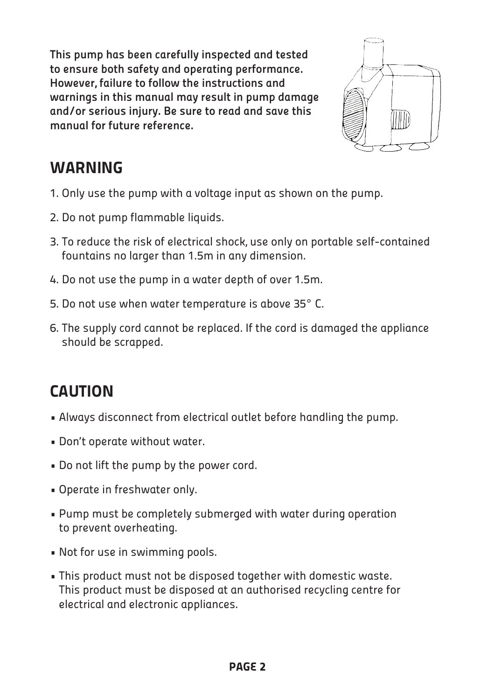This pump has been carefully inspected and tested to ensure both safety and operating performance. However, failure to follow the instructions and warnings in this manual may result in pump damage and/or serious injury. Be sure to read and save this manual for future reference.



#### **WARNING**

- 1. Only use the pump with a voltage input as shown on the pump.
- 2. Do not pump flammable liquids.
- 3. To reduce the risk of electrical shock, use only on portable self-contained fountains no larger than 1.5m in any dimension.
- 4. Do not use the pump in a water depth of over 1.5m.
- 5. Do not use when water temperature is above 35° C.
- 6. The supply cord cannot be replaced. If the cord is damaged the appliance should be scrapped.

### **CAUTION**

- Always disconnect from electrical outlet before handling the pump.
- Don't operate without water.
- Do not lift the pump by the power cord.
- Operate in freshwater only.
- Pump must be completely submerged with water during operation to prevent overheating.
- Not for use in swimming pools.
- This product must not be disposed together with domestic waste. This product must be disposed at an authorised recycling centre for electrical and electronic appliances.